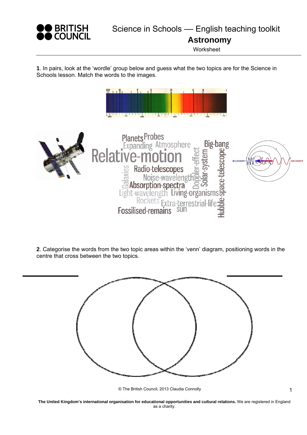

**Astronomy** 

**Worksheet** 

**1**. In pairs, look at the 'wordle' group below and guess what the two topics are for the Science in Schools lesson. Match the words to the images.



**2**. Categorise the words from the two topic areas within the 'venn' diagram, positioning words in the centre that cross between the two topics.



© The British Council, 2013 Claudia Connolly

**The United Kingdom's international organisation for educational opportunities and cultural relations.** We are registered in England as a charity.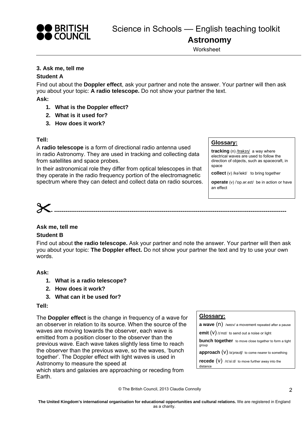

**Worksheet** 

## **3. Ask me, tell me**

#### **Student A**

Find out about the **Doppler effect**, ask your partner and note the answer. Your partner will then ask you about your topic: **A radio telescope.** Do not show your partner the text.

**Ask:** 

- **1. What is the Doppler effect?**
- **2. What is it used for?**
- **3. How does it work?**

#### **Tell:**

A **radio telescope** is a form of directional radio antenna used in radio Astronomy. They are used in tracking and collecting data from satellites and space probes.

In their astronomical role they differ from optical telescopes in that they operate in the radio frequency portion of the electromagnetic spectrum where they can detect and collect data on radio sources.

## **Glossary:**

**tracking** (n) /trakɪŋ/ a way where electrical waves are used to follow the direction of objects, such as spacecraft, in space

**collect** (v) /kəˈlekt/ to bring together

**operate** (v) /ˈɒp.ər.eɪt/ be in action or have an effect

# **- ---------------------------------------------------------------------------------------------------------------------------**

# **Ask me, tell me**

## **Student B**

Find out about **the radio telescope.** Ask your partner and note the answer. Your partner will then ask you about your topic: **The Doppler effect.** Do not show your partner the text and try to use your own words.

#### **Ask:**

- **1. What is a radio telescope?**
- **2. How does it work?**
- **3. What can it be used for?**

#### **Tell:**

The **Doppler effect** is the change in frequency of a wave for an observer in relation to its source. When the source of the waves are moving towards the observer, each wave is emitted from a position closer to the observer than the previous wave. Each wave takes slightly less time to reach the observer than the previous wave, so the waves, 'bunch together'. The Doppler effect with light waves is used in Astronomy to measure the speed at which stars and galaxies are approaching or receding from

Earth.

#### **Glossary:**

distance

**a wave** (n) /werv/ a movement repeated after a pause

**emit** (V) /*i'mit*/ to send out a noise or light

**bunch together** to move close together to form a tight group

**approach (V)** /ə'prəʊtʃ/ to come nearer to something

**recede** (v) /rɪˈsiːd/ to move further away into the

© The British Council, 2013 Claudia Connolly